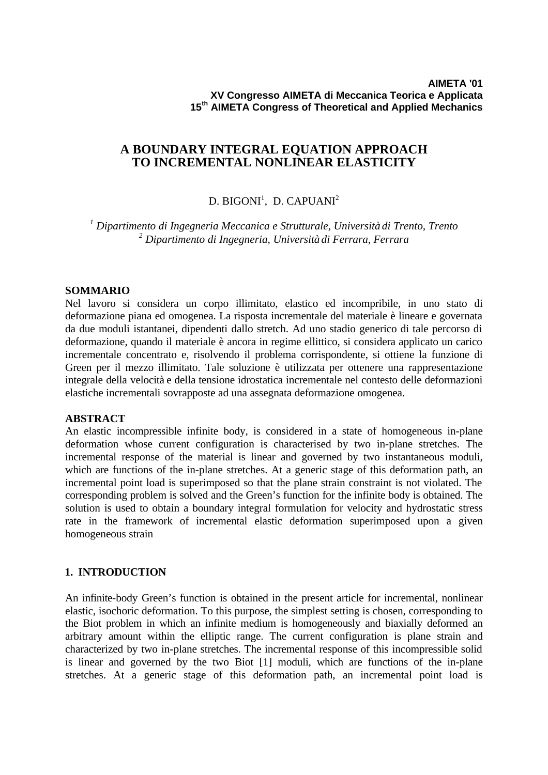## **A BOUNDARY INTEGRAL EQUATION APPROACH TO INCREMENTAL NONLINEAR ELASTICITY**

# D. BIGONI $^{\rm l}$ , D. CAPUANI $^{\rm 2}$

*1 Dipartimento di Ingegneria Meccanica e Strutturale, Università di Trento, Trento 2 Dipartimento di Ingegneria, Università di Ferrara, Ferrara*

### **SOMMARIO**

Nel lavoro si considera un corpo illimitato, elastico ed incompribile, in uno stato di deformazione piana ed omogenea. La risposta incrementale del materiale è lineare e governata da due moduli istantanei, dipendenti dallo stretch. Ad uno stadio generico di tale percorso di deformazione, quando il materiale è ancora in regime ellittico, si considera applicato un carico incrementale concentrato e, risolvendo il problema corrispondente, si ottiene la funzione di Green per il mezzo illimitato. Tale soluzione è utilizzata per ottenere una rappresentazione integrale della velocità e della tensione idrostatica incrementale nel contesto delle deformazioni elastiche incrementali sovrapposte ad una assegnata deformazione omogenea.

#### **ABSTRACT**

An elastic incompressible infinite body, is considered in a state of homogeneous in-plane deformation whose current configuration is characterised by two in-plane stretches. The incremental response of the material is linear and governed by two instantaneous moduli, which are functions of the in-plane stretches. At a generic stage of this deformation path, an incremental point load is superimposed so that the plane strain constraint is not violated. The corresponding problem is solved and the Green's function for the infinite body is obtained. The solution is used to obtain a boundary integral formulation for velocity and hydrostatic stress rate in the framework of incremental elastic deformation superimposed upon a given homogeneous strain

## **1. INTRODUCTION**

An infinite-body Green's function is obtained in the present article for incremental, nonlinear elastic, isochoric deformation. To this purpose, the simplest setting is chosen, corresponding to the Biot problem in which an infinite medium is homogeneously and biaxially deformed an arbitrary amount within the elliptic range. The current configuration is plane strain and characterized by two in-plane stretches. The incremental response of this incompressible solid is linear and governed by the two Biot [1] moduli, which are functions of the in-plane stretches. At a generic stage of this deformation path, an incremental point load is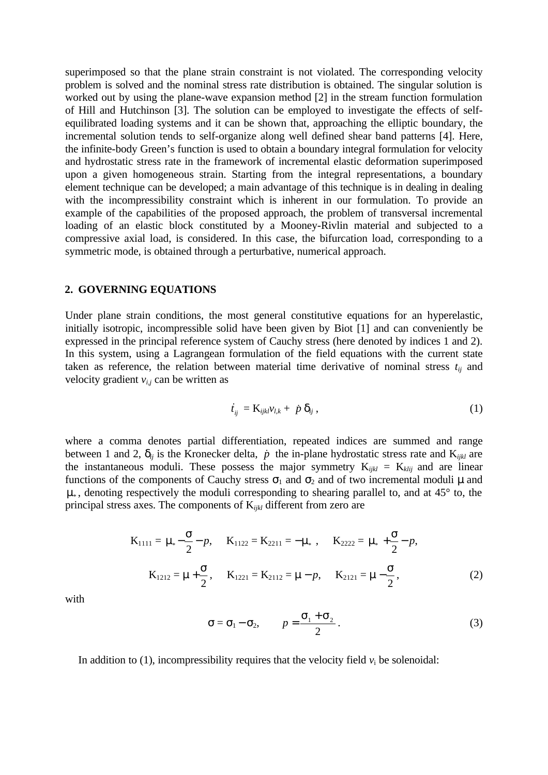superimposed so that the plane strain constraint is not violated. The corresponding velocity problem is solved and the nominal stress rate distribution is obtained. The singular solution is worked out by using the plane-wave expansion method [2] in the stream function formulation of Hill and Hutchinson [3]. The solution can be employed to investigate the effects of selfequilibrated loading systems and it can be shown that, approaching the elliptic boundary, the incremental solution tends to self-organize along well defined shear band patterns [4]. Here, the infinite-body Green's function is used to obtain a boundary integral formulation for velocity and hydrostatic stress rate in the framework of incremental elastic deformation superimposed upon a given homogeneous strain. Starting from the integral representations, a boundary element technique can be developed; a main advantage of this technique is in dealing in dealing with the incompressibility constraint which is inherent in our formulation. To provide an example of the capabilities of the proposed approach, the problem of transversal incremental loading of an elastic block constituted by a Mooney-Rivlin material and subjected to a compressive axial load, is considered. In this case, the bifurcation load, corresponding to a symmetric mode, is obtained through a perturbative, numerical approach.

#### **2. GOVERNING EQUATIONS**

Under plane strain conditions, the most general constitutive equations for an hyperelastic, initially isotropic, incompressible solid have been given by Biot [1] and can conveniently be expressed in the principal reference system of Cauchy stress (here denoted by indices 1 and 2). In this system, using a Lagrangean formulation of the field equations with the current state taken as reference, the relation between material time derivative of nominal stress  $t_{ij}$  and velocity gradient  $v_{i,j}$  can be written as

$$
\dot{t}_{ij} = \mathbf{K}_{ijkl} v_{l,k} + \dot{p} \, \delta_{ij} \,, \tag{1}
$$

where a comma denotes partial differentiation, repeated indices are summed and range between 1 and 2,  $\delta_{ij}$  is the Kronecker delta,  $\dot{p}$  the in-plane hydrostatic stress rate and K<sub>ijkl</sub> are the instantaneous moduli. These possess the major symmetry  $K_{ijkl} = K_{klij}$  and are linear functions of the components of Cauchy stress  $\sigma_1$  and  $\sigma_2$  and of two incremental moduli  $\mu$  and  $\mu_*$ , denoting respectively the moduli corresponding to shearing parallel to, and at 45 $\degree$  to, the principal stress axes. The components of K*ijkl* different from zero are

$$
K_{1111} = \mu_{*} - \frac{\sigma}{2} - p, \quad K_{1122} = K_{2211} = -\mu_{*} , \quad K_{2222} = \mu_{*} + \frac{\sigma}{2} - p,
$$
  

$$
K_{1212} = \mu + \frac{\sigma}{2}, \quad K_{1221} = K_{2112} = \mu - p, \quad K_{2121} = \mu - \frac{\sigma}{2}, \quad (2)
$$

with

$$
\sigma = \sigma_1 - \sigma_2, \qquad p = \frac{\sigma_1 + \sigma_2}{2} \,. \tag{3}
$$

In addition to (1), incompressibility requires that the velocity field  $v_i$  be solenoidal: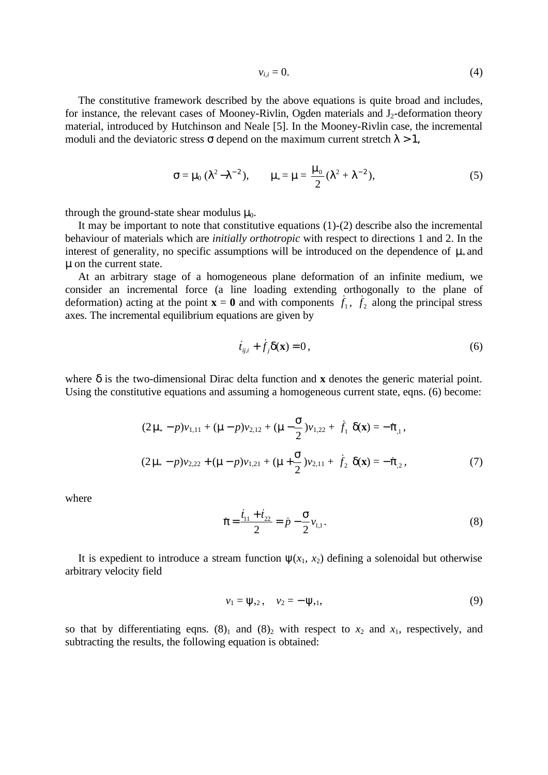$$
v_{i,i} = 0.\t\t(4)
$$

The constitutive framework described by the above equations is quite broad and includes, for instance, the relevant cases of Mooney-Rivlin, Ogden materials and J<sub>2</sub>-deformation theory material, introduced by Hutchinson and Neale [5]. In the Mooney-Rivlin case, the incremental moduli and the deviatoric stress  $\sigma$  depend on the maximum current stretch  $\lambda > 1$ ,

$$
\sigma = \mu_0 \, (\lambda^2 - \lambda^{-2}), \qquad \mu_* = \mu = \frac{\mu_0}{2} (\lambda^2 + \lambda^{-2}), \tag{5}
$$

through the ground-state shear modulus  $\mu_0$ .

It may be important to note that constitutive equations (1)-(2) describe also the incremental behaviour of materials which are *initially orthotropic* with respect to directions 1 and 2. In the interest of generality, no specific assumptions will be introduced on the dependence of  $\mu$ <sub>\*</sub> and μ on the current state.

At an arbitrary stage of a homogeneous plane deformation of an infinite medium, we consider an incremental force (a line loading extending orthogonally to the plane of deformation) acting at the point  $\mathbf{x} = \mathbf{0}$  and with components  $f_1$ ,  $f_2$  along the principal stress axes. The incremental equilibrium equations are given by

$$
\dot{t}_{ij,i} + \dot{f}_j \delta(\mathbf{x}) = 0, \qquad (6)
$$

where  $\delta$  is the two-dimensional Dirac delta function and **x** denotes the generic material point. Using the constitutive equations and assuming a homogeneous current state, eqns. (6) become:

$$
(2\mu_* - p)v_{1,11} + (\mu - p)v_{2,12} + (\mu - \frac{\sigma}{2})v_{1,22} + \dot{f}_1 \delta(\mathbf{x}) = -\dot{\pi}_{,1},
$$
  

$$
(2\mu_* - p)v_{2,22} + (\mu - p)v_{1,21} + (\mu + \frac{\sigma}{2})v_{2,11} + \dot{f}_2 \delta(\mathbf{x}) = -\dot{\pi}_{,2},
$$
 (7)

where

$$
\dot{\pi} = \frac{\dot{t}_{11} + \dot{t}_{22}}{2} = \dot{p} - \frac{\sigma}{2} v_{1,1}.
$$
\n(8)

It is expedient to introduce a stream function  $\psi(x_1, x_2)$  defining a solenoidal but otherwise arbitrary velocity field

$$
v_1 = \psi_{2}, \quad v_2 = -\psi_{2,1}, \tag{9}
$$

so that by differentiating eqns.  $(8)_1$  and  $(8)_2$  with respect to  $x_2$  and  $x_1$ , respectively, and subtracting the results, the following equation is obtained: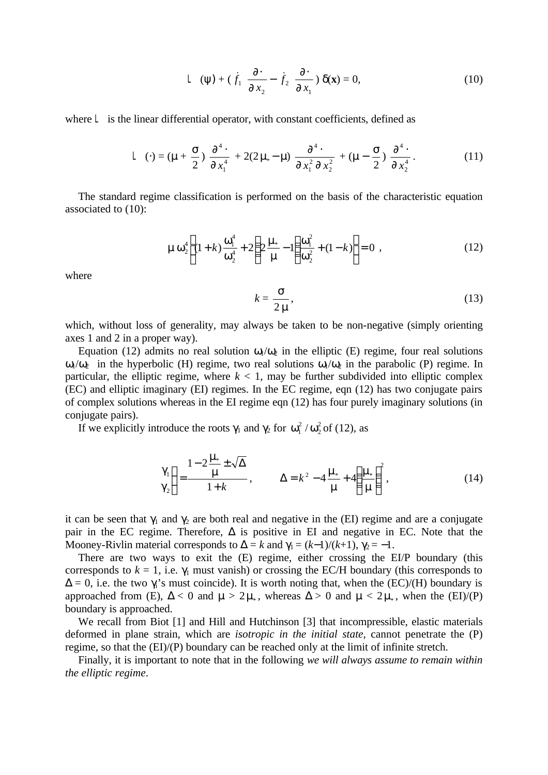$$
L(\psi) + (\dot{f}_1 \frac{\partial}{\partial x_2} - \dot{f}_2 \frac{\partial}{\partial x_1}) \delta(\mathbf{x}) = 0,
$$
 (10)

where  $L$  is the linear differential operator, with constant coefficients, defined as

$$
L(\cdot) = (\mu + \frac{\sigma}{2}) \frac{\partial^4}{\partial x_1^4} + 2(2\mu_* - \mu) \frac{\partial^4}{\partial x_1^2 \partial x_2^2} + (\mu - \frac{\sigma}{2}) \frac{\partial^4}{\partial x_2^4}.
$$
 (11)

The standard regime classification is performed on the basis of the characteristic equation associated to (10):

$$
\mu \omega_2^4 \left[ (1+k) \frac{\omega_1^4}{\omega_2^4} + 2 \left( 2 \frac{\mu_*}{\mu} - 1 \right) \frac{\omega_1^2}{\omega_2^2} + (1-k) \right] = 0 , \qquad (12)
$$

where

$$
k = \frac{\sigma}{2\,\mu},\tag{13}
$$

which, without loss of generality, may always be taken to be non-negative (simply orienting axes 1 and 2 in a proper way).

Equation (12) admits no real solution  $\omega_1/\omega_2$  in the elliptic (E) regime, four real solutions  $ω_1/ω_2$  in the hyperbolic (H) regime, two real solutions  $ω_1/ω_2$  in the parabolic (P) regime. In particular, the elliptic regime, where  $k < 1$ , may be further subdivided into elliptic complex (EC) and elliptic imaginary (EI) regimes. In the EC regime, eqn (12) has two conjugate pairs of complex solutions whereas in the EI regime eqn (12) has four purely imaginary solutions (in conjugate pairs).

If we explicitly introduce the roots  $\gamma_1$  and  $\gamma_2$  for  $\omega_1^2/\omega_2^2$  $\omega_1^2 / \omega_2^2$  of (12), as

$$
\begin{aligned}\n\gamma_1 \\
\gamma_2\n\end{aligned}\n=\frac{1-2\frac{\mu_*}{\mu}\pm\sqrt{\Delta}}{1+k}, \qquad \Delta = k^2 - 4\frac{\mu_*}{\mu} + 4\left(\frac{\mu_*}{\mu}\right)^2,\n\tag{14}
$$

it can be seen that  $\gamma_1$  and  $\gamma_2$  are both real and negative in the (EI) regime and are a conjugate pair in the EC regime. Therefore,  $\Delta$  is positive in EI and negative in EC. Note that the Mooney-Rivlin material corresponds to  $\Delta = k$  and  $\gamma_1 = (k-1)/(k+1)$ ,  $\gamma_2 = -1$ .

There are two ways to exit the (E) regime, either crossing the EI/P boundary (this corresponds to  $k = 1$ , i.e.  $\gamma_1$  must vanish) or crossing the EC/H boundary (this corresponds to  $\Delta = 0$ , i.e. the two  $\gamma_i$ 's must coincide). It is worth noting that, when the (EC)/(H) boundary is approached from (E),  $\Delta < 0$  and  $\mu > 2\mu_*$ , whereas  $\Delta > 0$  and  $\mu < 2\mu_*$ , when the (EI)/(P) boundary is approached.

We recall from Biot [1] and Hill and Hutchinson [3] that incompressible, elastic materials deformed in plane strain, which are *isotropic in the initial state,* cannot penetrate the (P) regime, so that the (EI)/(P) boundary can be reached only at the limit of infinite stretch.

Finally, it is important to note that in the following *we will always assume to remain within the elliptic regime*.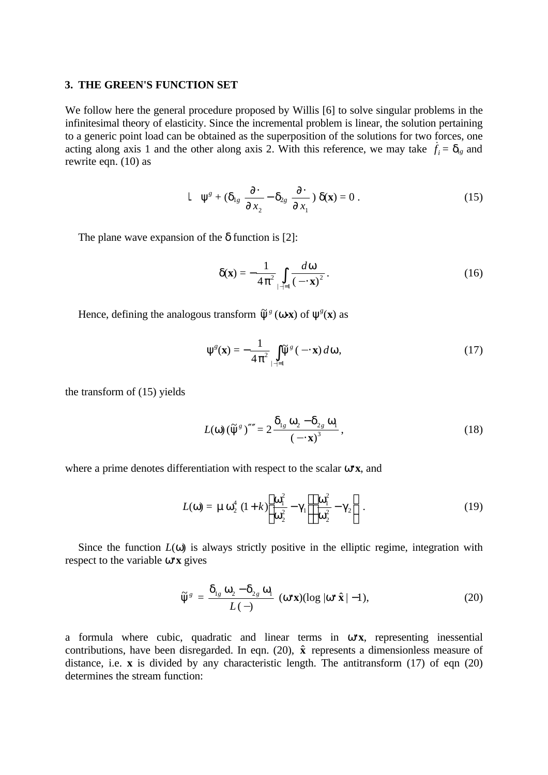#### **3. THE GREEN'S FUNCTION SET**

We follow here the general procedure proposed by Willis [6] to solve singular problems in the infinitesimal theory of elasticity. Since the incremental problem is linear, the solution pertaining to a generic point load can be obtained as the superposition of the solutions for two forces, one acting along axis 1 and the other along axis 2. With this reference, we may take  $\dot{f}_i = \delta_{ig}$  and rewrite eqn. (10) as

$$
L \psi^s + (\delta_{1g} \frac{\partial}{\partial x_2} - \delta_{2g} \frac{\partial}{\partial x_1}) \delta(\mathbf{x}) = 0.
$$
 (15)

The plane wave expansion of the  $\delta$  function is [2]:

$$
\delta(\mathbf{x}) = -\frac{1}{4\pi^2} \int\limits_{|\mathbf{x}|=1} \frac{d\omega}{(-\mathbf{x})^2}.
$$
 (16)

Hence, defining the analogous transform  $\tilde{\psi}^g$  ( $\omega \mathbf{x}$ ) of  $\psi^g(\mathbf{x})$  as

$$
\Psi^g(\mathbf{x}) = -\frac{1}{4\pi^2} \int_{|\mathbf{x}|=1} \widetilde{\Psi}^g(\mathbf{x}) d\omega,
$$
 (17)

the transform of (15) yields

$$
L(\omega) \left(\tilde{\psi}^s\right)^{\prime\prime\prime} = 2 \frac{\delta_{1s} \omega_2 - \delta_{2s} \omega_1}{\left(-\mathbf{x}\right)^3},\tag{18}
$$

where a prime denotes differentiation with respect to the scalar ω⋅**x**, and

$$
L(\omega) = \mu \omega_2^4 (1 + k) \left[ \frac{\omega_1^2}{\omega_2^2} - \gamma_1 \right] \left[ \frac{\omega_1^2}{\omega_2^2} - \gamma_2 \right].
$$
 (19)

Since the function  $L(\omega)$  is always strictly positive in the elliptic regime, integration with respect to the variable ω⋅**x** gives

$$
\widetilde{\Psi}^{g} = \frac{\delta_{1g} \omega_2 - \delta_{2g} \omega_1}{L(-)} \ (\omega \cdot \mathbf{x}) (\log |\omega \cdot \hat{\mathbf{x}}| - 1), \tag{20}
$$

a formula where cubic, quadratic and linear terms in ω⋅**x**, representing inessential contributions, have been disregarded. In eqn. (20),  $\hat{\mathbf{x}}$  represents a dimensionless measure of distance, i.e. **x** is divided by any characteristic length. The antitransform (17) of eqn (20) determines the stream function: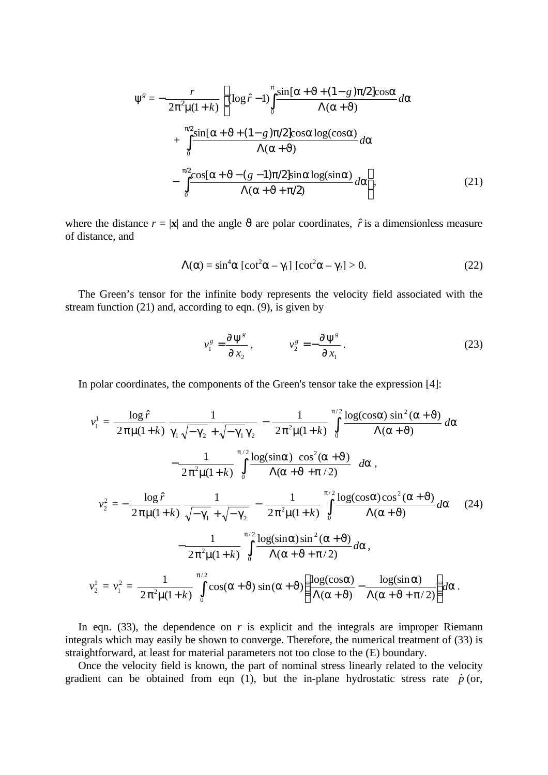$$
\Psi^{g} = -\frac{r}{2\pi^{2}\mu(1+k)} \left[ (\log \hat{r} - 1) \int_{0}^{\pi} \frac{\sin[\alpha + \vartheta + (1-g)\pi/2] \cos\alpha}{\Lambda(\alpha+\vartheta)} d\alpha + \int_{0}^{\pi/2} \frac{\sin[\alpha + \vartheta + (1-g)\pi/2] \cos\alpha \log(\cos\alpha)}{\Lambda(\alpha+\vartheta)} d\alpha - \int_{0}^{\pi/2} \frac{\cos[\alpha + \vartheta - (g-1)\pi/2] \sin\alpha \log(\sin\alpha)}{\Lambda(\alpha+\vartheta+\pi/2)} d\alpha \right],
$$
(21)

where the distance  $r = |\mathbf{x}|$  and the angle  $\vartheta$  are polar coordinates,  $\hat{r}$  is a dimensionless measure of distance, and

$$
\Lambda(\alpha) = \sin^4 \alpha \left[ \cot^2 \alpha - \gamma_1 \right] \left[ \cot^2 \alpha - \gamma_2 \right] > 0. \tag{22}
$$

The Green's tensor for the infinite body represents the velocity field associated with the stream function (21) and, according to eqn. (9), is given by

$$
v_1^g = \frac{\partial \Psi^g}{\partial x_2}, \qquad v_2^g = -\frac{\partial \Psi^g}{\partial x_1}.
$$
 (23)

In polar coordinates, the components of the Green's tensor take the expression [4]:

$$
v_1^1 = \frac{\log \hat{r}}{2\pi\mu(1+k)} \frac{1}{\gamma_1 \sqrt{-\gamma_2} + \sqrt{-\gamma_1} \gamma_2} - \frac{1}{2\pi^2\mu(1+k)} \int_0^{\pi/2} \frac{\log(\cos \alpha) \sin^2(\alpha + \vartheta)}{\Lambda(\alpha + \vartheta)} d\alpha
$$

$$
- \frac{1}{2\pi^2\mu(1+k)} \int_0^{\rho/2} \frac{\log(\sin \alpha) \cos^2(\alpha + J)}{\Lambda(\alpha + J + \rho/2)} d\alpha,
$$

$$
v_2^2 = -\frac{\log \hat{r}}{2\pi\mu(1+k)} \frac{1}{\sqrt{-\gamma_1} + \sqrt{-\gamma_2}} - \frac{1}{2\pi^2\mu(1+k)} \int_0^{\pi/2} \frac{\log(\cos \alpha) \cos^2(\alpha + \vartheta)}{\Lambda(\alpha + \vartheta)} d\alpha \qquad (24)
$$

$$
- \frac{1}{2\pi^2\mu(1+k)} \int_0^{\pi/2} \frac{\log(\sin \alpha) \sin^2(\alpha + \vartheta)}{\Lambda(\alpha + \vartheta + \pi/2)} d\alpha,
$$

$$
v_2^1 = v_1^2 = \frac{1}{2\pi^2\mu(1+k)} \int_0^{\pi/2} \cos(\alpha + \vartheta) \sin(\alpha + \vartheta) \left( \frac{\log(\cos \alpha)}{\Lambda(\alpha + \vartheta)} - \frac{\log(\sin \alpha)}{\Lambda(\alpha + \vartheta + \pi/2)} \right) d\alpha.
$$

In eqn.  $(33)$ , the dependence on *r* is explicit and the integrals are improper Riemann integrals which may easily be shown to converge. Therefore, the numerical treatment of (33) is straightforward, at least for material parameters not too close to the (E) boundary.

Once the velocity field is known, the part of nominal stress linearly related to the velocity gradient can be obtained from eqn (1), but the in-plane hydrostatic stress rate  $\dot{p}$  (or,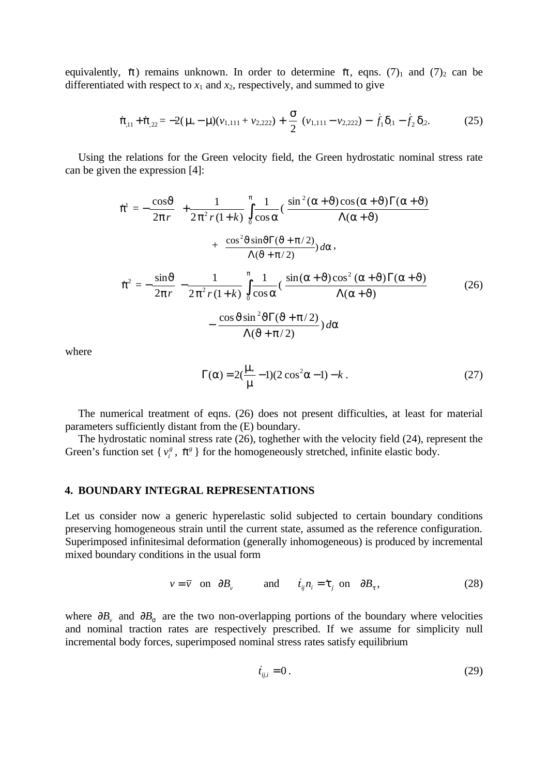equivalently,  $\dot{\pi}$ ) remains unknown. In order to determine  $\dot{\pi}$ , eqns. (7)<sub>1</sub> and (7)<sub>2</sub> can be differentiated with respect to  $x_1$  and  $x_2$ , respectively, and summed to give

$$
\dot{\pi}_{,11} + \dot{\pi}_{,22} = -2(\mu_* - \mu)(\nu_{1,111} + \nu_{2,222}) + \frac{\sigma}{2} (\nu_{1,111} - \nu_{2,222}) - \dot{f}_1 \delta_{,1} - \dot{f}_2 \delta_{,2}.
$$
 (25)

Using the relations for the Green velocity field, the Green hydrostatic nominal stress rate can be given the expression [4]:

$$
\dot{\pi}^{1} = -\frac{\cos\vartheta}{2\pi r} + \frac{1}{2\pi^{2} r (1+k)} \int_{0}^{\pi} \frac{1}{\cos\alpha} (\frac{\sin^{2}(\alpha + \vartheta)\cos(\alpha + \vartheta)\Gamma(\alpha + \vartheta)}{\Lambda(\alpha + \vartheta)} + \frac{\cos^{2}\vartheta\sin\vartheta\Gamma(\vartheta + \pi/2)}{\Lambda(\vartheta + \pi/2)}) d\alpha,
$$
  

$$
\dot{\pi}^{2} = -\frac{\sin\vartheta}{2\pi r} - \frac{1}{2\pi^{2} r (1+k)} \int_{0}^{\pi} \frac{1}{\cos\alpha} (\frac{\sin(\alpha + \vartheta)\cos^{2}(\alpha + \vartheta)\Gamma(\alpha + \vartheta)}{\Lambda(\alpha + \vartheta)} - \frac{\cos\vartheta\sin^{2}\vartheta\Gamma(\vartheta + \pi/2)}{\Lambda(\vartheta + \pi/2)}) d\alpha
$$
(26)

where

$$
\Gamma(\alpha) = 2(\frac{\mu_*}{\mu} - 1)(2\cos^2\alpha - 1) - k.
$$
 (27)

The numerical treatment of eqns. (26) does not present difficulties, at least for material parameters sufficiently distant from the (E) boundary.

The hydrostatic nominal stress rate (26), toghether with the velocity field (24), represent the Green's function set { $v_i^g$ ,  $\dot{\pi}^g$ } for the homogeneously stretched, infinite elastic body.

## **4. BOUNDARY INTEGRAL REPRESENTATIONS**

Let us consider now a generic hyperelastic solid subjected to certain boundary conditions preserving homogeneous strain until the current state, assumed as the reference configuration. Superimposed infinitesimal deformation (generally inhomogeneous) is produced by incremental mixed boundary conditions in the usual form

$$
v = \overline{v} \quad \text{on} \quad \partial B_v \qquad \text{and} \qquad \dot{t}_{ij} n_i = \dot{\tau}_j \quad \text{on} \quad \partial B_\tau \,, \tag{28}
$$

where  $\partial B_\nu$  and  $\partial B_\sigma$  are the two non-overlapping portions of the boundary where velocities and nominal traction rates are respectively prescribed. If we assume for simplicity null incremental body forces, superimposed nominal stress rates satisfy equilibrium

$$
\dot{t}_{ij,i} = 0. \tag{29}
$$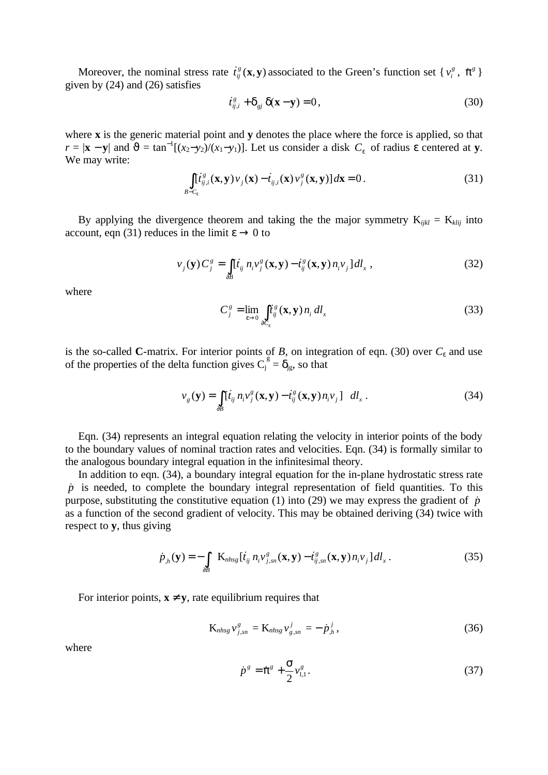Moreover, the nominal stress rate  $\dot{t}^s_{ij}(\mathbf{x}, \mathbf{y})$  associated to the Green's function set  $\{v_i^s, \dot{\pi}^s\}$ given by (24) and (26) satisfies

$$
\dot{t}_{ij,i}^g + \delta_{gj} \, \delta(\mathbf{x} - \mathbf{y}) = 0,\tag{30}
$$

where **x** is the generic material point and **y** denotes the place where the force is applied, so that  $r = |\mathbf{x} - \mathbf{y}|$  and  $\vartheta = \tan^{-1}[(x_2 - y_2)/(x_1 - y_1)]$ . Let us consider a disk  $C_{\varepsilon}$  of radius  $\varepsilon$  centered at **y**. We may write:

$$
\int_{B-C_{\varepsilon}} [t_{ij,i}^{s}(\mathbf{x}, \mathbf{y}) v_{j}(\mathbf{x}) - t_{ij,i}(\mathbf{x}) v_{j}^{s}(\mathbf{x}, \mathbf{y})] d\mathbf{x} = 0.
$$
\n(31)

By applying the divergence theorem and taking the the major symmetry  $K_{ijkl} = K_{klij}$  into account, eqn (31) reduces in the limit  $\varepsilon \to 0$  to

$$
v_j(\mathbf{y})C_j^g = \int_{\partial B} [\dot{t}_{ij} \, n_i v_j^g(\mathbf{x}, \mathbf{y}) - \dot{t}_{ij}^g(\mathbf{x}, \mathbf{y}) \, n_i v_j] \, dl_x \,, \tag{32}
$$

where

$$
C_j^g = \lim_{\varepsilon \to 0} \int_{\partial C_{\varepsilon}} \dot{t}_{ij}^g(\mathbf{x}, \mathbf{y}) n_i \, dl_x \tag{33}
$$

is the so-called **C**-matrix. For interior points of *B*, on integration of eqn. (30) over *C*ε and use of the properties of the delta function gives  $C_j^g = \delta_{jg}$ , so that

$$
v_g(\mathbf{y}) = \int_{\partial B} [\dot{t}_{ij} n_i v_j^g(\mathbf{x}, \mathbf{y}) - \dot{t}_{ij}^g(\mathbf{x}, \mathbf{y}) n_i v_j] \, dl_x \,. \tag{34}
$$

Eqn. (34) represents an integral equation relating the velocity in interior points of the body to the boundary values of nominal traction rates and velocities. Eqn. (34) is formally similar to the analogous boundary integral equation in the infinitesimal theory.

In addition to eqn. (34), a boundary integral equation for the in-plane hydrostatic stress rate  $\dot{p}$  is needed, to complete the boundary integral representation of field quantities. To this purpose, substituting the constitutive equation (1) into (29) we may express the gradient of  $\dot{p}$ as a function of the second gradient of velocity. This may be obtained deriving (34) twice with respect to **y**, thus giving

$$
\dot{p}_{j_l}(\mathbf{y}) = -\int_{\partial B} \mathbf{K}_{nhsg} [\dot{t}_{ij} \; n_i v_{j,sn}^g(\mathbf{x}, \mathbf{y}) - \dot{t}_{ij,sn}^g(\mathbf{x}, \mathbf{y}) \; n_i v_j] \, dl_x \,. \tag{35}
$$

For interior points,  $x \neq y$ , rate equilibrium requires that

$$
K_{nhsg}v_{j,sn}^g = K_{nhsg}v_{g,sn}^j = -\dot{p}_{,h}^j,
$$
 (36)

where

$$
\dot{p}^s = \dot{\pi}^s + \frac{\sigma}{2} v_{1,1}^s. \tag{37}
$$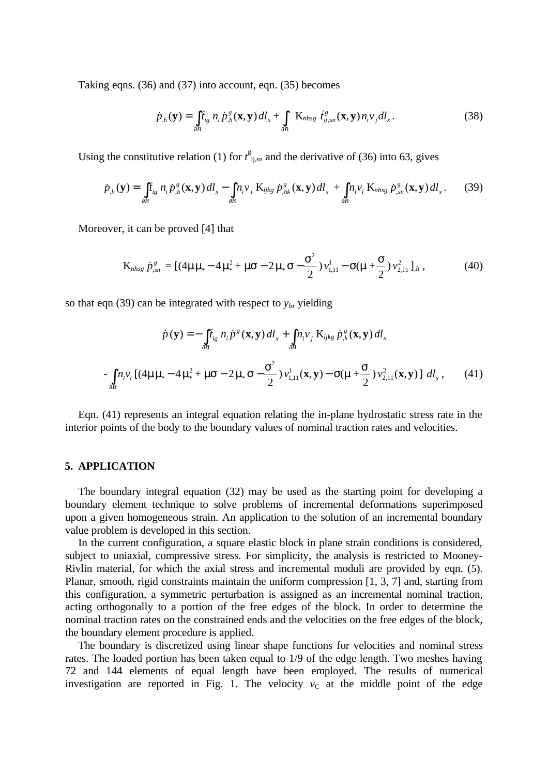Taking eqns. (36) and (37) into account, eqn. (35) becomes

$$
\dot{p}_{,h}(\mathbf{y}) = \int_{\partial B} \dot{t}_{ig} \; n_i \dot{p}_{,h}^s(\mathbf{x}, \mathbf{y}) \, dl_x + \int_{\partial B} \; \mathbf{K}_{nhsg} \; \dot{t}_{ij,sn}^s(\mathbf{x}, \mathbf{y}) \, n_i v_j dl_x. \tag{38}
$$

Using the constitutive relation (1) for  $t_{ij,sn}^g$  and the derivative of (36) into 63, gives

$$
\dot{p}_{j_h}(\mathbf{y}) = \int_{\partial B} \dot{t}_{ig} \ n_i \dot{p}_{j_h}^g(\mathbf{x}, \mathbf{y}) \, dl_x - \int_{\partial B} n_i v_j \ K_{ijkg} \ \dot{p}_{j_h}^g(\mathbf{x}, \mathbf{y}) \, dl_x + \int_{\partial B} n_i v_i \ K_{nlhsg} \ \dot{p}_{j_s}^g(\mathbf{x}, \mathbf{y}) \, dl_x \,. \tag{39}
$$

Moreover, it can be proved [4] that

$$
K_{nhsg} \dot{p}_{sn}^g = [(4\mu\mu_* - 4\mu_*^2 + \mu\sigma - 2\mu_*\sigma - \frac{\sigma^2}{2})\nu_{1,11}^1 - \sigma(\mu + \frac{\sigma}{2})\nu_{2,11}^2]_h, \qquad (40)
$$

so that eqn (39) can be integrated with respect to  $y_h$ , yielding

$$
\dot{p}(\mathbf{y}) = -\int_{\partial B} \dot{t}_{ig} \, n_i \dot{p}^s(\mathbf{x}, \mathbf{y}) \, dl_x + \int_{\partial B} n_i v_j \, K_{ijkg} \, \dot{p}^s_{,k}(\mathbf{x}, \mathbf{y}) \, dl_x
$$

$$
- \int_{\partial B} n_i v_i \left[ (4\mu \mu_* - 4\mu_*^2 + \mu \sigma - 2\mu_* \sigma - \frac{\sigma^2}{2}) v_{1,11}^1(\mathbf{x}, \mathbf{y}) - \sigma(\mu + \frac{\mathbf{S}}{2}) v_{2,11}^2(\mathbf{x}, \mathbf{y}) \right] \, dl_x \,, \tag{41}
$$

Eqn. (41) represents an integral equation relating the in-plane hydrostatic stress rate in the interior points of the body to the boundary values of nominal traction rates and velocities.

#### **5. APPLICATION**

The boundary integral equation (32) may be used as the starting point for developing a boundary element technique to solve problems of incremental deformations superimposed upon a given homogeneous strain. An application to the solution of an incremental boundary value problem is developed in this section.

In the current configuration, a square elastic block in plane strain conditions is considered, subject to uniaxial, compressive stress. For simplicity, the analysis is restricted to Mooney-Rivlin material, for which the axial stress and incremental moduli are provided by eqn. (5). Planar, smooth, rigid constraints maintain the uniform compression [1, 3, 7] and, starting from this configuration, a symmetric perturbation is assigned as an incremental nominal traction, acting orthogonally to a portion of the free edges of the block. In order to determine the nominal traction rates on the constrained ends and the velocities on the free edges of the block, the boundary element procedure is applied.

The boundary is discretized using linear shape functions for velocities and nominal stress rates. The loaded portion has been taken equal to 1/9 of the edge length. Two meshes having 72 and 144 elements of equal length have been employed. The results of numerical investigation are reported in Fig. 1. The velocity  $v<sub>C</sub>$  at the middle point of the edge